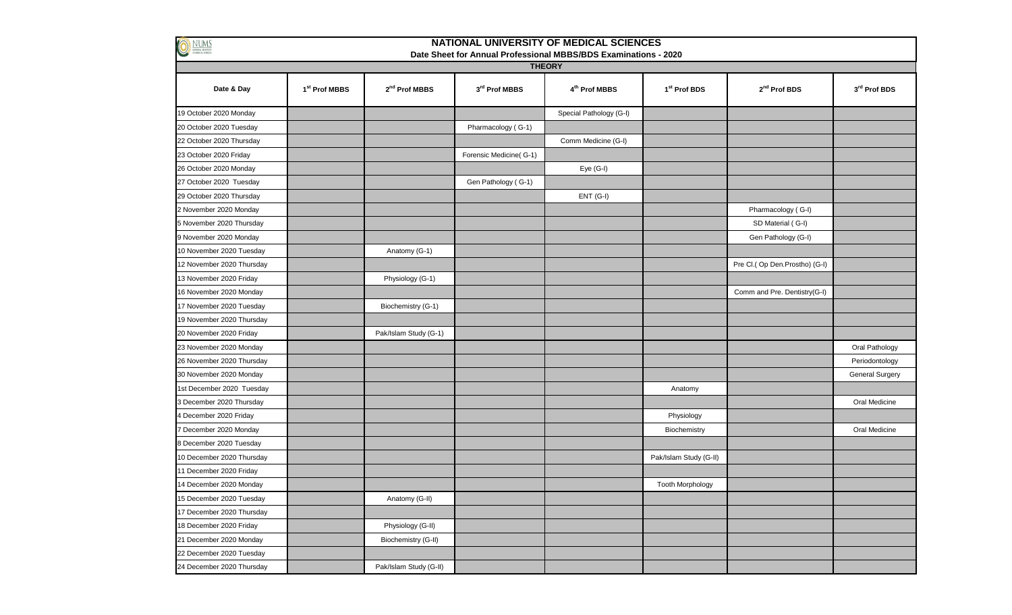| <b>NATIONAL UNIVERSITY OF MEDICAL SCIENCES</b><br>$\bullet$<br>NUMS              |               |                        |                        |                           |                          |                               |                        |  |  |  |  |  |
|----------------------------------------------------------------------------------|---------------|------------------------|------------------------|---------------------------|--------------------------|-------------------------------|------------------------|--|--|--|--|--|
| Date Sheet for Annual Professional MBBS/BDS Examinations - 2020<br><b>THEORY</b> |               |                        |                        |                           |                          |                               |                        |  |  |  |  |  |
| Date & Day                                                                       | 1st Prof MBBS | $2nd$ Prof MBBS        | 3rd Prof MBBS          | 4 <sup>th</sup> Prof MBBS | 1 <sup>st</sup> Prof BDS | 2 <sup>nd</sup> Prof BDS      | 3rd Prof BDS           |  |  |  |  |  |
| 19 October 2020 Monday                                                           |               |                        |                        | Special Pathology (G-I)   |                          |                               |                        |  |  |  |  |  |
| 20 October 2020 Tuesday                                                          |               |                        | Pharmacology (G-1)     |                           |                          |                               |                        |  |  |  |  |  |
| 22 October 2020 Thursday                                                         |               |                        |                        | Comm Medicine (G-I)       |                          |                               |                        |  |  |  |  |  |
| 23 October 2020 Friday                                                           |               |                        | Forensic Medicine(G-1) |                           |                          |                               |                        |  |  |  |  |  |
| 26 October 2020 Monday                                                           |               |                        |                        | Eye (G-I)                 |                          |                               |                        |  |  |  |  |  |
| 27 October 2020 Tuesday                                                          |               |                        | Gen Pathology (G-1)    |                           |                          |                               |                        |  |  |  |  |  |
| 29 October 2020 Thursday                                                         |               |                        |                        | ENT (G-I)                 |                          |                               |                        |  |  |  |  |  |
| 2 November 2020 Monday                                                           |               |                        |                        |                           |                          | Pharmacology (G-I)            |                        |  |  |  |  |  |
| 5 November 2020 Thursday                                                         |               |                        |                        |                           |                          | SD Material (G-I)             |                        |  |  |  |  |  |
| 9 November 2020 Monday                                                           |               |                        |                        |                           |                          | Gen Pathology (G-I)           |                        |  |  |  |  |  |
| 10 November 2020 Tuesday                                                         |               | Anatomy (G-1)          |                        |                           |                          |                               |                        |  |  |  |  |  |
| 12 November 2020 Thursday                                                        |               |                        |                        |                           |                          | Pre Cl.(Op Den.Prostho) (G-I) |                        |  |  |  |  |  |
| 13 November 2020 Friday                                                          |               | Physiology (G-1)       |                        |                           |                          |                               |                        |  |  |  |  |  |
| 16 November 2020 Monday                                                          |               |                        |                        |                           |                          | Comm and Pre. Dentistry(G-I)  |                        |  |  |  |  |  |
| 17 November 2020 Tuesday                                                         |               | Biochemistry (G-1)     |                        |                           |                          |                               |                        |  |  |  |  |  |
| 19 November 2020 Thursday                                                        |               |                        |                        |                           |                          |                               |                        |  |  |  |  |  |
| 20 November 2020 Friday                                                          |               | Pak/Islam Study (G-1)  |                        |                           |                          |                               |                        |  |  |  |  |  |
| 23 November 2020 Monday                                                          |               |                        |                        |                           |                          |                               | Oral Pathology         |  |  |  |  |  |
| 26 November 2020 Thursday                                                        |               |                        |                        |                           |                          |                               | Periodontology         |  |  |  |  |  |
| 30 November 2020 Monday                                                          |               |                        |                        |                           |                          |                               | <b>General Surgery</b> |  |  |  |  |  |
| 1st December 2020 Tuesday                                                        |               |                        |                        |                           | Anatomy                  |                               |                        |  |  |  |  |  |
| 3 December 2020 Thursday                                                         |               |                        |                        |                           |                          |                               | Oral Medicine          |  |  |  |  |  |
| 4 December 2020 Friday                                                           |               |                        |                        |                           | Physiology               |                               |                        |  |  |  |  |  |
| 7 December 2020 Monday                                                           |               |                        |                        |                           | Biochemistry             |                               | Oral Medicine          |  |  |  |  |  |
| 8 December 2020 Tuesday                                                          |               |                        |                        |                           |                          |                               |                        |  |  |  |  |  |
| 10 December 2020 Thursday                                                        |               |                        |                        |                           | Pak/Islam Study (G-II)   |                               |                        |  |  |  |  |  |
| 11 December 2020 Friday                                                          |               |                        |                        |                           |                          |                               |                        |  |  |  |  |  |
| 14 December 2020 Monday                                                          |               |                        |                        |                           | <b>Tooth Morphology</b>  |                               |                        |  |  |  |  |  |
| 15 December 2020 Tuesday                                                         |               | Anatomy (G-II)         |                        |                           |                          |                               |                        |  |  |  |  |  |
| 17 December 2020 Thursday                                                        |               |                        |                        |                           |                          |                               |                        |  |  |  |  |  |
| 18 December 2020 Friday                                                          |               | Physiology (G-II)      |                        |                           |                          |                               |                        |  |  |  |  |  |
| 21 December 2020 Monday                                                          |               | Biochemistry (G-II)    |                        |                           |                          |                               |                        |  |  |  |  |  |
| 22 December 2020 Tuesday                                                         |               |                        |                        |                           |                          |                               |                        |  |  |  |  |  |
| 24 December 2020 Thursday                                                        |               | Pak/Islam Study (G-II) |                        |                           |                          |                               |                        |  |  |  |  |  |